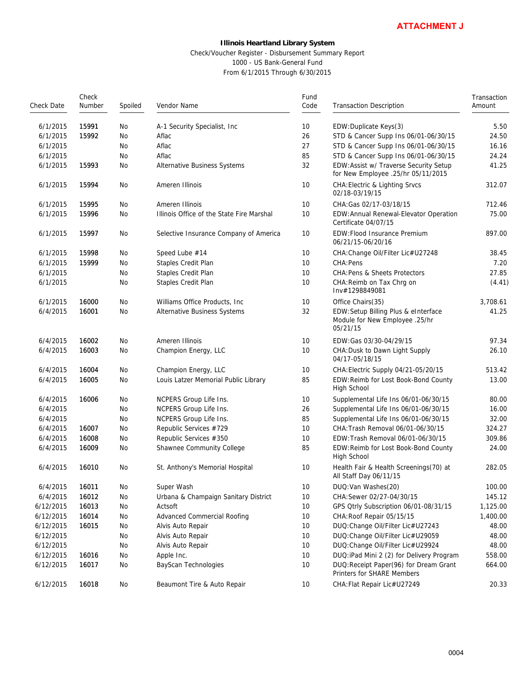# **Illinois Heartland Library System** Check/Voucher Register - Disbursement Summary Report

|            |                 |           | Check/Voucher Register - Disbursement Summary Report<br>1000 - US Bank-General Fund<br>From 6/1/2015 Through 6/30/2015 |              |                                                                                   |                       |
|------------|-----------------|-----------|------------------------------------------------------------------------------------------------------------------------|--------------|-----------------------------------------------------------------------------------|-----------------------|
| Check Date | Check<br>Number | Spoiled   | Vendor Name                                                                                                            | Fund<br>Code | <b>Transaction Description</b>                                                    | Transaction<br>Amount |
| 6/1/2015   | 15991           | No        | A-1 Security Specialist, Inc                                                                                           | 10           | EDW: Duplicate Keys(3)                                                            | 5.50                  |
| 6/1/2015   | 15992           | No        | Aflac                                                                                                                  | 26           | STD & Cancer Supp Ins 06/01-06/30/15                                              | 24.50                 |
| 6/1/2015   |                 | No        | Aflac                                                                                                                  | 27           | STD & Cancer Supp Ins 06/01-06/30/15                                              | 16.16                 |
| 6/1/2015   |                 | No        | Aflac                                                                                                                  | 85           | STD & Cancer Supp Ins 06/01-06/30/15                                              | 24.24                 |
| 6/1/2015   | 15993           | No        | Alternative Business Systems                                                                                           | 32           | EDW: Assist w/ Traverse Security Setup<br>for New Employee .25/hr 05/11/2015      | 41.25                 |
| 6/1/2015   | 15994           | No        | Ameren Illinois                                                                                                        | 10           | <b>CHA: Electric &amp; Lighting Srvcs</b><br>02/18-03/19/15                       | 312.07                |
| 6/1/2015   | 15995           | No        | Ameren Illinois                                                                                                        | 10           | CHA: Gas 02/17-03/18/15                                                           | 712.46                |
| 6/1/2015   | 15996           | <b>No</b> | Illinois Office of the State Fire Marshal                                                                              | 10           | EDW: Annual Renewal-Elevator Operation<br>Certificate 04/07/15                    | 75.00                 |
| 6/1/2015   | 15997           | No        | Selective Insurance Company of America                                                                                 | 10           | EDW: Flood Insurance Premium<br>06/21/15-06/20/16                                 | 897.00                |
| 6/1/2015   | 15998           | No        | Speed Lube #14                                                                                                         | 10           | CHA: Change Oil/Filter Lic#U27248                                                 | 38.45                 |
| 6/1/2015   | 15999           | No        | Staples Credit Plan                                                                                                    | 10           | CHA: Pens                                                                         | 7.20                  |
| 6/1/2015   |                 | No        | Staples Credit Plan                                                                                                    | 10           | CHA: Pens & Sheets Protectors                                                     | 27.85                 |
| 6/1/2015   |                 | No        | Staples Credit Plan                                                                                                    | 10           | CHA: Reimb on Tax Chrq on<br>Inv#1298849081                                       | (4.41)                |
| 6/1/2015   | 16000           | No        | Williams Office Products, Inc.                                                                                         | 10           | Office Chairs(35)                                                                 | 3,708.61              |
| 6/4/2015   | 16001           | No        | Alternative Business Systems                                                                                           | 32           | EDW:Setup Billing Plus & eInterface<br>Module for New Employee .25/hr<br>05/21/15 | 41.25                 |
| 6/4/2015   | 16002           | No        | Ameren Illinois                                                                                                        | 10           | EDW: Gas 03/30-04/29/15                                                           | 97.34                 |
| 6/4/2015   | 16003           | No        | Champion Energy, LLC                                                                                                   | 10           | CHA: Dusk to Dawn Light Supply<br>04/17-05/18/15                                  | 26.10                 |
| 6/4/2015   | 16004           | No        | Champion Energy, LLC                                                                                                   | 10           | CHA: Electric Supply 04/21-05/20/15                                               | 513.42                |
| 6/4/2015   | 16005           | No        | Louis Latzer Memorial Public Library                                                                                   | 85           | EDW:Reimb for Lost Book-Bond County<br>High School                                | 13.00                 |
| 6/4/2015   | 16006           | No        | NCPERS Group Life Ins.                                                                                                 | 10           | Supplemental Life Ins 06/01-06/30/15                                              | 80.00                 |
| 6/4/2015   |                 | No        | NCPERS Group Life Ins.                                                                                                 | 26           | Supplemental Life Ins 06/01-06/30/15                                              | 16.00                 |
| 6/4/2015   |                 | No        | NCPERS Group Life Ins.                                                                                                 | 85           | Supplemental Life Ins 06/01-06/30/15                                              | 32.00                 |
| 6/4/2015   | 16007           | No        | Republic Services #729                                                                                                 | 10           | CHA: Trash Removal 06/01-06/30/15                                                 | 324.27                |
| 6/4/2015   | 16008           | No        | Republic Services #350                                                                                                 | 10           | EDW:Trash Removal 06/01-06/30/15                                                  | 309.86                |
| 6/4/2015   | 16009           | No        | Shawnee Community College                                                                                              | 85           | EDW:Reimb for Lost Book-Bond County<br>High School                                | 24.00                 |
| 6/4/2015   | 16010           | No        | St. Anthony's Memorial Hospital                                                                                        | 10           | Health Fair & Health Screenings(70) at<br>All Staff Day 06/11/15                  | 282.05                |
| 6/4/2015   | 16011           | No        | Super Wash                                                                                                             | 10           | DUQ: Van Washes (20)                                                              | 100.00                |
| 6/4/2015   | 16012           | No        | Urbana & Champaign Sanitary District                                                                                   | 10           | CHA: Sewer 02/27-04/30/15                                                         | 145.12                |
| 6/12/2015  | 16013           | No        | Actsoft                                                                                                                | 10           | GPS Otrly Subscription 06/01-08/31/15                                             | 1,125.00              |
| 6/12/2015  | 16014           | No        | Advanced Commercial Roofing                                                                                            | 10           | CHA: Roof Repair 05/15/15                                                         | 1,400.00              |
| 6/12/2015  | 16015           | No        | Alvis Auto Repair                                                                                                      | 10           | DUQ: Change Oil/Filter Lic#U27243                                                 | 48.00                 |
| 6/12/2015  |                 | No        | Alvis Auto Repair                                                                                                      | 10           | DUQ: Change Oil/Filter Lic#U29059                                                 | 48.00                 |
| 6/12/2015  |                 | No        | Alvis Auto Repair                                                                                                      | 10           | DUQ: Change Oil/Filter Lic#U29924                                                 | 48.00                 |
| 6/12/2015  | 16016           | No        | Apple Inc.                                                                                                             | 10           | DUQ: iPad Mini 2 (2) for Delivery Program                                         | 558.00                |
| 6/12/2015  | 16017           | No        | BayScan Technologies                                                                                                   | 10           | DUQ: Receipt Paper(96) for Dream Grant<br>Printers for SHARE Members              | 664.00                |
| 6/12/2015  | 16018           | No        | Beaumont Tire & Auto Repair                                                                                            | 10           | CHA: Flat Repair Lic#U27249                                                       | 20.33                 |
|            |                 |           |                                                                                                                        |              |                                                                                   |                       |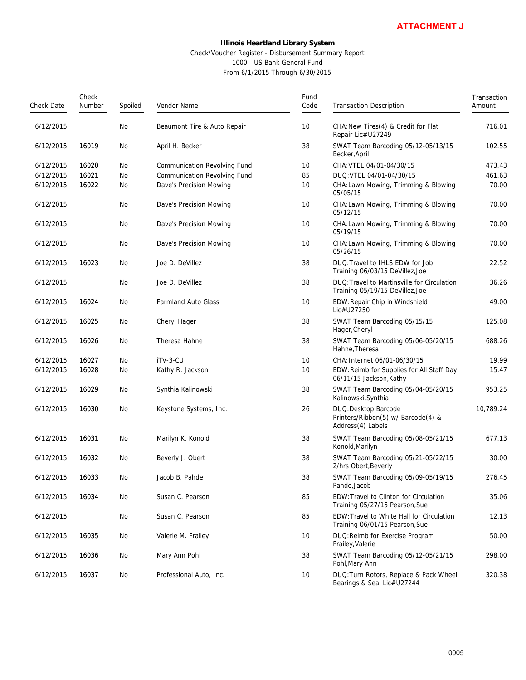|            |                 |         |                                                                                           |                                                                | <b>ATTACHMENT J</b>                                                             |                       |
|------------|-----------------|---------|-------------------------------------------------------------------------------------------|----------------------------------------------------------------|---------------------------------------------------------------------------------|-----------------------|
|            |                 |         | Illinois Heartland Library System<br>Check/Voucher Register - Disbursement Summary Report | 1000 - US Bank-General Fund<br>From 6/1/2015 Through 6/30/2015 |                                                                                 |                       |
| Check Date | Check<br>Number | Spoiled | Vendor Name                                                                               | Fund<br>Code                                                   | <b>Transaction Description</b>                                                  | Transaction<br>Amount |
| 6/12/2015  |                 | No      | Beaumont Tire & Auto Repair                                                               | 10                                                             | CHA: New Tires (4) & Credit for Flat<br>Repair Lic#U27249                       | 716.01                |
| 6/12/2015  | 16019           | No      | April H. Becker                                                                           | 38                                                             | SWAT Team Barcoding 05/12-05/13/15<br>Becker, April                             | 102.55                |
| 6/12/2015  | 16020           | No      | Communication Revolving Fund                                                              | 10                                                             | CHA: VTEL 04/01-04/30/15                                                        | 473.43                |
| 6/12/2015  | 16021           | No      | Communication Revolving Fund                                                              | 85                                                             | DUQ: VTEL 04/01-04/30/15                                                        | 461.63                |
| 6/12/2015  | 16022           | No      | Dave's Precision Mowing                                                                   | 10                                                             | CHA: Lawn Mowing, Trimming & Blowing<br>05/05/15                                | 70.00                 |
| 6/12/2015  |                 | No      | Dave's Precision Mowing                                                                   | 10                                                             | CHA: Lawn Mowing, Trimming & Blowing<br>05/12/15                                | 70.00                 |
| 6/12/2015  |                 | No      | Dave's Precision Mowing                                                                   | 10                                                             | CHA: Lawn Mowing, Trimming & Blowing<br>05/19/15                                | 70.00                 |
| 6/12/2015  |                 | No      | Dave's Precision Mowing                                                                   | 10                                                             | CHA: Lawn Mowing, Trimming & Blowing<br>05/26/15                                | 70.00                 |
| 6/12/2015  | 16023           | No      | Joe D. DeVillez                                                                           | 38                                                             | DUQ: Travel to IHLS EDW for Job<br>Training 06/03/15 DeVillez, Joe              | 22.52                 |
| 6/12/2015  |                 | No      | Joe D. DeVillez                                                                           | 38                                                             | DUQ: Travel to Martinsville for Circulation<br>Training 05/19/15 DeVillez, Joe  | 36.26                 |
| 6/12/2015  | 16024           | No      | Farmland Auto Glass                                                                       | 10                                                             | EDW: Repair Chip in Windshield<br>Lic#U27250                                    | 49.00                 |
| 6/12/2015  | 16025           | No      | Cheryl Hager                                                                              | 38                                                             | SWAT Team Barcoding 05/15/15<br>Hager, Cheryl                                   | 125.08                |
| 6/12/2015  | 16026           | No      | Theresa Hahne                                                                             | 38                                                             | SWAT Team Barcoding 05/06-05/20/15<br>Hahne, Theresa                            | 688.26                |
| 6/12/2015  | 16027           | No      | iTV-3-CU                                                                                  | 10                                                             | CHA: Internet 06/01-06/30/15                                                    | 19.99                 |
| 6/12/2015  | 16028           | No      | Kathy R. Jackson                                                                          | 10                                                             | EDW: Reimb for Supplies for All Staff Day<br>06/11/15 Jackson, Kathy            | 15.47                 |
| 6/12/2015  | 16029           | No      | Synthia Kalinowski                                                                        | 38                                                             | SWAT Team Barcoding 05/04-05/20/15<br>Kalinowski, Synthia                       | 953.25                |
| 6/12/2015  | 16030           | No      | Keystone Systems, Inc.                                                                    | 26                                                             | DUQ: Desktop Barcode<br>Printers/Ribbon(5) w/ Barcode(4) &<br>Address(4) Labels | 10,789.24             |
| 6/12/2015  | 16031           | No      | Marilyn K. Konold                                                                         | 38                                                             | SWAT Team Barcoding 05/08-05/21/15<br>Konold, Marilyn                           | 677.13                |
| 6/12/2015  | 16032           | No      | Beverly J. Obert                                                                          | 38                                                             | SWAT Team Barcoding 05/21-05/22/15<br>2/hrs Obert, Beverly                      | 30.00                 |
| 6/12/2015  | 16033           | No      | Jacob B. Pahde                                                                            | 38                                                             | SWAT Team Barcoding 05/09-05/19/15<br>Pahde, Jacob                              | 276.45                |
| 6/12/2015  | 16034           | No      | Susan C. Pearson                                                                          | 85                                                             | EDW: Travel to Clinton for Circulation<br>Training 05/27/15 Pearson, Sue        | 35.06                 |
| 6/12/2015  |                 | No      | Susan C. Pearson                                                                          | 85                                                             | EDW: Travel to White Hall for Circulation<br>Training 06/01/15 Pearson, Sue     | 12.13                 |
| 6/12/2015  | 16035           | No      | Valerie M. Frailey                                                                        | 10                                                             | DUQ: Reimb for Exercise Program<br>Frailey, Valerie                             | 50.00                 |
| 6/12/2015  | 16036           | No      | Mary Ann Pohl                                                                             | 38                                                             | SWAT Team Barcoding 05/12-05/21/15<br>Pohl, Mary Ann                            | 298.00                |
| 6/12/2015  | 16037           | No      | Professional Auto, Inc.                                                                   | 10                                                             | DUQ: Turn Rotors, Replace & Pack Wheel<br>Bearings & Seal Lic#U27244            | 320.38                |
|            |                 |         |                                                                                           |                                                                | 0005                                                                            |                       |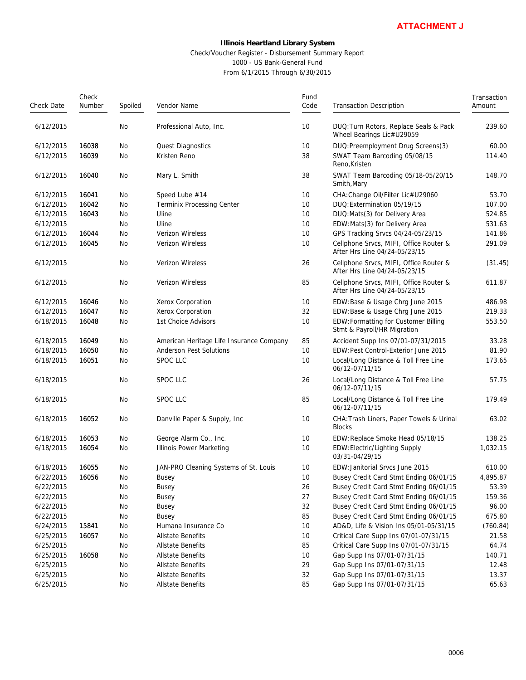### Check/Voucher Register - Disbursement Summary Report 1000 - US Bank-General Fund From 6/1/2015 Through 6/30/2015

|            |                 |         |                                                                                                                                                                    |              | <b>ATTACHMENT J</b>                                                     |                       |
|------------|-----------------|---------|--------------------------------------------------------------------------------------------------------------------------------------------------------------------|--------------|-------------------------------------------------------------------------|-----------------------|
|            |                 |         | <b>Illinois Heartland Library System</b><br>Check/Voucher Register - Disbursement Summary Report<br>1000 - US Bank-General Fund<br>From 6/1/2015 Through 6/30/2015 |              |                                                                         |                       |
| Check Date | Check<br>Number | Spoiled | Vendor Name                                                                                                                                                        | Fund<br>Code | <b>Transaction Description</b>                                          | Transaction<br>Amount |
| 6/12/2015  |                 | No      | Professional Auto, Inc.                                                                                                                                            | 10           | DUQ: Turn Rotors, Replace Seals & Pack<br>Wheel Bearings Lic#U29059     | 239.60                |
| 6/12/2015  | 16038           | No      | Quest Diagnostics                                                                                                                                                  | 10           | DUQ: Preemployment Drug Screens(3)                                      | 60.00                 |
| 6/12/2015  | 16039           | No      | Kristen Reno                                                                                                                                                       | 38           | SWAT Team Barcoding 05/08/15<br>Reno, Kristen                           | 114.40                |
| 6/12/2015  | 16040           | No      | Mary L. Smith                                                                                                                                                      | 38           | SWAT Team Barcoding 05/18-05/20/15<br>Smith, Mary                       | 148.70                |
| 6/12/2015  | 16041           | No      | Speed Lube #14                                                                                                                                                     | 10           | CHA: Change Oil/Filter Lic#U29060                                       | 53.70                 |
| 6/12/2015  | 16042           | No      | <b>Terminix Processing Center</b>                                                                                                                                  | 10           | DUQ: Extermination 05/19/15                                             | 107.00                |
| 6/12/2015  | 16043           | No      | Uline                                                                                                                                                              | 10           | DUQ: Mats(3) for Delivery Area                                          | 524.85                |
| 6/12/2015  |                 | No      | Uline                                                                                                                                                              | 10           | EDW:Mats(3) for Delivery Area                                           | 531.63                |
| 6/12/2015  | 16044           | No      | Verizon Wireless                                                                                                                                                   | 10           | GPS Tracking Srvcs 04/24-05/23/15                                       | 141.86                |
| 6/12/2015  | 16045           | No      | Verizon Wireless                                                                                                                                                   | 10           | Cellphone Srvcs, MIFI, Office Router &<br>After Hrs Line 04/24-05/23/15 | 291.09                |
| 6/12/2015  |                 | No      | Verizon Wireless                                                                                                                                                   | 26           | Cellphone Srvcs, MIFI, Office Router &<br>After Hrs Line 04/24-05/23/15 | (31.45)               |
| 6/12/2015  |                 | No      | Verizon Wireless                                                                                                                                                   | 85           | Cellphone Srvcs, MIFI, Office Router &<br>After Hrs Line 04/24-05/23/15 | 611.87                |
| 6/12/2015  | 16046           | No      | Xerox Corporation                                                                                                                                                  | 10           | EDW:Base & Usage Chrg June 2015                                         | 486.98                |
| 6/12/2015  | 16047           | No      | Xerox Corporation                                                                                                                                                  | 32           | EDW:Base & Usage Chrg June 2015                                         | 219.33                |
| 6/18/2015  | 16048           | No      | 1st Choice Advisors                                                                                                                                                | 10           | EDW: Formatting for Customer Billing<br>Stmt & Payroll/HR Migration     | 553.50                |
| 6/18/2015  | 16049           | No      | American Heritage Life Insurance Company                                                                                                                           | 85           | Accident Supp Ins 07/01-07/31/2015                                      | 33.28                 |
| 6/18/2015  | 16050           | No      | Anderson Pest Solutions                                                                                                                                            | 10           | EDW:Pest Control-Exterior June 2015                                     | 81.90                 |
| 6/18/2015  | 16051           | No      | SPOC LLC                                                                                                                                                           | 10           | Local/Long Distance & Toll Free Line<br>06/12-07/11/15                  | 173.65                |
| 6/18/2015  |                 | No      | <b>SPOC LLC</b>                                                                                                                                                    | 26           | Local/Long Distance & Toll Free Line<br>06/12-07/11/15                  | 57.75                 |
| 6/18/2015  |                 | No      | <b>SPOC LLC</b>                                                                                                                                                    | 85           | Local/Long Distance & Toll Free Line<br>06/12-07/11/15                  | 179.49                |
| 6/18/2015  | 16052           | No      | Danville Paper & Supply, Inc                                                                                                                                       | 10           | CHA: Trash Liners, Paper Towels & Urinal<br><b>Blocks</b>               | 63.02                 |
| 6/18/2015  | 16053           | No      | George Alarm Co., Inc.                                                                                                                                             | 10           | EDW:Replace Smoke Head 05/18/15                                         | 138.25                |
| 6/18/2015  | 16054           | No      | <b>Illinois Power Marketing</b>                                                                                                                                    | 10           | EDW: Electric/Lighting Supply<br>03/31-04/29/15                         | 1,032.15              |
| 6/18/2015  | 16055           | No      | JAN-PRO Cleaning Systems of St. Louis                                                                                                                              | 10           | EDW: Janitorial Srvcs June 2015                                         | 610.00                |
| 6/22/2015  | 16056           | No      | Busey                                                                                                                                                              | 10           | Busey Credit Card Stmt Ending 06/01/15                                  | 4,895.87              |
| 6/22/2015  |                 | No      | Busey                                                                                                                                                              | 26           | Busey Credit Card Stmt Ending 06/01/15                                  | 53.39                 |
| 6/22/2015  |                 | No      | Busey                                                                                                                                                              | 27           | Busey Credit Card Stmt Ending 06/01/15                                  | 159.36                |
| 6/22/2015  |                 | No      | <b>Busey</b>                                                                                                                                                       | 32           | Busey Credit Card Stmt Ending 06/01/15                                  | 96.00                 |
| 6/22/2015  |                 | No      | Busey                                                                                                                                                              | 85           | Busey Credit Card Stmt Ending 06/01/15                                  | 675.80                |
| 6/24/2015  | 15841           | No      | Humana Insurance Co                                                                                                                                                | 10           | AD&D, Life & Vision Ins 05/01-05/31/15                                  | (760.84)              |
| 6/25/2015  | 16057           | No      | <b>Allstate Benefits</b>                                                                                                                                           | 10           | Critical Care Supp Ins 07/01-07/31/15                                   | 21.58                 |
| 6/25/2015  |                 | No      | <b>Allstate Benefits</b>                                                                                                                                           | 85           | Critical Care Supp Ins 07/01-07/31/15                                   | 64.74                 |
| 6/25/2015  | 16058           | No      | <b>Allstate Benefits</b>                                                                                                                                           | 10           | Gap Supp Ins 07/01-07/31/15                                             | 140.71                |
| 6/25/2015  |                 | No      | Allstate Benefits                                                                                                                                                  | 29           | Gap Supp Ins 07/01-07/31/15                                             | 12.48                 |
| 6/25/2015  |                 | No      | <b>Allstate Benefits</b>                                                                                                                                           | 32           | Gap Supp Ins 07/01-07/31/15                                             | 13.37                 |
| 6/25/2015  |                 | No      | Allstate Benefits                                                                                                                                                  | 85           | Gap Supp Ins 07/01-07/31/15                                             | 65.63                 |
|            |                 |         |                                                                                                                                                                    |              | 0006                                                                    |                       |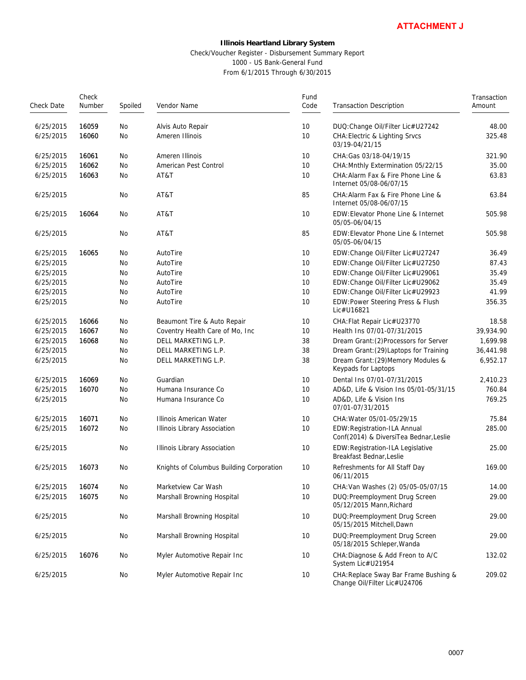### Check/Voucher Register - Disbursement Summary Report 1000 - US Bank-General Fund From 6/1/2015 Through 6/30/2015

Check Date Number Check Spoiled Vendor Name Code Fund Transaction Description **Amount Transaction** 6/25/2015 16059 No Alvis Auto Repair 10 DUQ:Change Oil/Filter Lic#U27242 48.00 6/25/2015 16060 No Ameren Illinois 10 CHA:Electric & Lighting Srvcs 03/19-04/21/15 325.48 6/25/2015 16061 No Ameren Illinois 10 CHA:Gas 03/18-04/19/15 321.90 6/25/2015 16062 No American Pest Control 10 CHA:Mnthly Extermination 05/22/15 35.00 6/25/2015 16063 No AT&T 10 CHA:Alarm Fax & Fire Phone Line & Internet 05/08-06/07/15 63.83 6/25/2015 No AT&T 85 CHA:Alarm Fax & Fire Phone Line & Internet 05/08-06/07/15 63.84 6/25/2015 16064 No AT&T 10 EDW:Elevator Phone Line & Internet 05/05-06/04/15 505.98 6/25/2015 No AT&T 85 EDW:Elevator Phone Line & Internet 05/05-06/04/15 505.98 6/25/2015 16065 No AutoTire 10 10 EDW:Change Oil/Filter Lic#U27247 36.49 6/25/2015 No AutoTire 10 Hotel AutoTire 10 EDW:Change Oil/Filter Lic#U27250 87.43 6/25/2015 No AutoTire 10 Hotel AutoTire 10 EDW:Change Oil/Filter Lic#U29061 35.49 6/25/2015 No AutoTire 10 Hotel AutoTire 10 Hotel AutoTire 10 Hotel AutoTire 10 Hotel AutoTire 10 Hotel AutoTire 6/25/2015 No AutoTire 10 Hotel AutoTire 10 EDW:Change Oil/Filter Lic#U29923 41.99 6/25/2015 No AutoTire 10 EDW:Power Steering Press & Flush Lic#U16821 356.35 6/25/2015 16066 No Beaumont Tire & Auto Repair 10 CHA:Flat Repair Lic#U23770 18.58 6/25/2015 16067 No Coventry Health Care of Mo, Inc 10 Health Ins 07/01-07/31/2015 39,934.90 6/25/2015 16068 No DELL MARKETING L.P. 38 Dream Grant:(2)Processors for Server 1,699.98 6/25/2015 No DELL MARKETING L.P. 38 Dream Grant:(29)Laptops for Training 36,441.98 6/25/2015 No DELL MARKETING L.P. 38 Dream Grant:(29)Memory Modules & Keypads for Laptops 6,952.17 6/25/2015 16069 No Guardian 10 Dental Ins 07/01-07/31/2015 2,410.23 6/25/2015 16070 No Humana Insurance Co 10 AD&D, Life & Vision Ins 05/01-05/31/15 760.84 6/25/2015 No Humana Insurance Co 10 AD&D, Life & Vision Ins 07/01-07/31/2015 769.25 6/25/2015 16071 No Illinois American Water 10 CHA:Water 05/01-05/29/15 75.84 6/25/2015 16072 No Illinois Library Association 10 EDW:Registration-ILA Annual Conf(2014) & DiversiTea Bednar,Leslie 285.00 6/25/2015 No Illinois Library Association 10 EDW:Registration-ILA Legislative Breakfast Bednar,Leslie 25.00 6/25/2015 16073 No Knights of Columbus Building Corporation 10 Refreshments for All Staff Day 06/11/2015 169.00 6/25/2015 16074 No Marketview Car Wash 10 CHA:Van Washes (2) 05/05-05/07/15 14.00 6/25/2015 16075 No Marshall Browning Hospital 10 DUQ:Preemployment Drug Screen 05/12/2015 Mann,Richard 29.00 6/25/2015 No Marshall Browning Hospital 10 DUQ:Preemployment Drug Screen 05/15/2015 Mitchell,Dawn 29.00 6/25/2015 No Marshall Browning Hospital 10 DUQ:Preemployment Drug Screen 05/18/2015 Schleper,Wanda 29.00 6/25/2015 16076 No Myler Automotive Repair Inc 10 CHA:Diagnose & Add Freon to A/C System Lic#U21954 132.02 6/25/2015 No Myler Automotive Repair Inc 10 CHA:Replace Sway Bar Frame Bushing & Change Oil/Filter Lic#U24706 209.02 **ATTACHMENT J**<br>
on<br>
on<br>
fr Lic#U27242<br>
on<br>
stricts and the Section<br>
on<br>
175<br>
Phone Line & Internet<br>
175<br>
Phone Line & Internet<br>
175<br>
Phone Line & Internet<br>
Line & Internet<br>
Line & Internet<br>
Fuc#U27247<br>
Fuc#U27250<br>
Fr Lic#U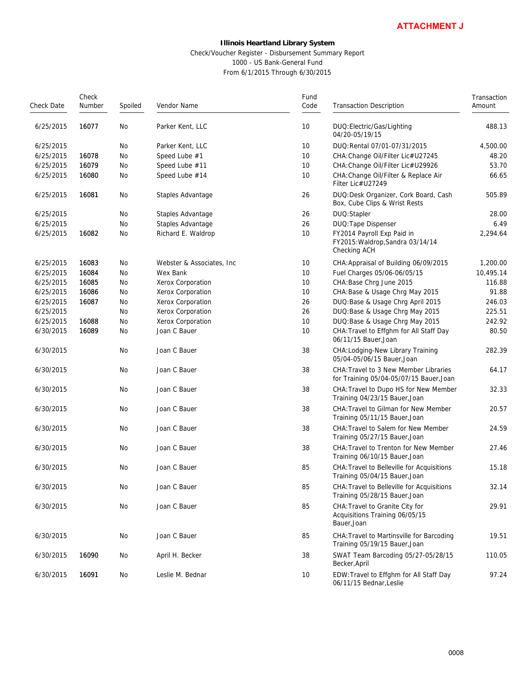#### Check/Voucher Register - Disbursement Summary Report 1000 - US Bank-General Fund From 6/1/2015 Through 6/30/2015

|            |                 |         | Check/Voucher Register - Disbursement Summary Report | <b>Illinois Heartland Library System</b><br>1000 - US Bank-General Fund<br>From 6/1/2015 Through 6/30/2015 | <b>ATTACHMENT J</b>                                                              |                       |
|------------|-----------------|---------|------------------------------------------------------|------------------------------------------------------------------------------------------------------------|----------------------------------------------------------------------------------|-----------------------|
| Check Date | Check<br>Number | Spoiled | Vendor Name                                          | Fund<br>Code                                                                                               | <b>Transaction Description</b>                                                   | Transaction<br>Amount |
| 6/25/2015  | 16077           | No      | Parker Kent, LLC                                     | 10                                                                                                         | DUQ: Electric/Gas/Lighting<br>04/20-05/19/15                                     | 488.13                |
| 6/25/2015  |                 | No      | Parker Kent, LLC                                     | 10                                                                                                         | DUQ: Rental 07/01-07/31/2015                                                     | 4,500.00              |
| 6/25/2015  | 16078           | No      | Speed Lube #1                                        | 10                                                                                                         | CHA: Change Oil/Filter Lic#U27245                                                | 48.20                 |
| 6/25/2015  | 16079           | No      | Speed Lube #11                                       | 10                                                                                                         | CHA: Change Oil/Filter Lic#U29926                                                | 53.70                 |
| 6/25/2015  | 16080           | No      | Speed Lube #14                                       | 10                                                                                                         | CHA: Change Oil/Filter & Replace Air<br>Filter Lic#U27249                        | 66.65                 |
| 6/25/2015  | 16081           | No      | Staples Advantage                                    | 26                                                                                                         | DUQ:Desk Organizer, Cork Board, Cash<br>Box, Cube Clips & Wrist Rests            | 505.89                |
| 6/25/2015  |                 | No      | Staples Advantage                                    | 26                                                                                                         | DUQ:Stapler                                                                      | 28.00                 |
| 6/25/2015  |                 | No      | Staples Advantage                                    | 26                                                                                                         | DUQ: Tape Dispenser                                                              | 6.49                  |
| 6/25/2015  | 16082           | No      | Richard E. Waldrop                                   | 10                                                                                                         | FY2014 Payroll Exp Paid in<br>FY2015: Waldrop, Sandra 03/14/14<br>Checking ACH   | 2,294.64              |
| 6/25/2015  | 16083           | No      | Webster & Associates, Inc.                           | 10                                                                                                         | CHA: Appraisal of Building 06/09/2015                                            | 1,200.00              |
| 6/25/2015  | 16084           | No      | Wex Bank                                             | 10                                                                                                         | Fuel Charges 05/06-06/05/15                                                      | 10,495.14             |
| 6/25/2015  | 16085           | No      | Xerox Corporation                                    | 10                                                                                                         | CHA: Base Chrg June 2015                                                         | 116.88                |
| 6/25/2015  | 16086           | No      | Xerox Corporation                                    | 10                                                                                                         | CHA: Base & Usage Chrg May 2015                                                  | 91.88                 |
| 6/25/2015  | 16087           | No      | Xerox Corporation                                    | 26                                                                                                         | DUQ: Base & Usage Chrg April 2015                                                | 246.03                |
| 6/25/2015  |                 | No      | Xerox Corporation                                    | 26                                                                                                         | DUQ: Base & Usage Chrg May 2015                                                  | 225.51                |
| 6/25/2015  | 16088           | No      | Xerox Corporation                                    | 10                                                                                                         | DUQ: Base & Usage Chrg May 2015                                                  | 242.92                |
| 6/30/2015  | 16089           | No      | Joan C Bauer                                         | 10                                                                                                         | CHA: Travel to Effghm for All Staff Day<br>06/11/15 Bauer, Joan                  | 80.50                 |
| 6/30/2015  |                 | No      | Joan C Bauer                                         | 38                                                                                                         | CHA: Lodging-New Library Training<br>05/04-05/06/15 Bauer.Joan                   | 282.39                |
| 6/30/2015  |                 | No      | Joan C Bauer                                         | 38                                                                                                         | CHA: Travel to 3 New Member Libraries<br>for Training 05/04-05/07/15 Bauer, Joan | 64.17                 |
| 6/30/2015  |                 | No      | Joan C Bauer                                         | 38                                                                                                         | CHA: Travel to Dupo HS for New Member<br>Training 04/23/15 Bauer, Joan           | 32.33                 |
| 6/30/2015  |                 | No      | Joan C Bauer                                         | 38                                                                                                         | CHA: Travel to Gilman for New Member<br>Training 05/11/15 Bauer, Joan            | 20.57                 |
| 6/30/2015  |                 | No      | Joan C Bauer                                         | 38                                                                                                         | CHA: Travel to Salem for New Member<br>Training 05/27/15 Bauer, Joan             | 24.59                 |
| 6/30/2015  |                 | No      | Joan C Bauer                                         | 38                                                                                                         | CHA: Travel to Trenton for New Member<br>Training 06/10/15 Bauer, Joan           | 27.46                 |
| 6/30/2015  |                 | No      | Joan C Bauer                                         | 85                                                                                                         | CHA: Travel to Belleville for Acquisitions<br>Training 05/04/15 Bauer, Joan      | 15.18                 |
| 6/30/2015  |                 | No      | Joan C Bauer                                         | 85                                                                                                         | CHA: Travel to Belleville for Acquisitions<br>Training 05/28/15 Bauer, Joan      | 32.14                 |
| 6/30/2015  |                 | No      | Joan C Bauer                                         | 85                                                                                                         | CHA: Travel to Granite City for<br>Acquisitions Training 06/05/15<br>Bauer, Joan | 29.91                 |
| 6/30/2015  |                 | No      | Joan C Bauer                                         | 85                                                                                                         | CHA: Travel to Martinsville for Barcoding<br>Training 05/19/15 Bauer, Joan       | 19.51                 |
| 6/30/2015  | 16090           | No      | April H. Becker                                      | 38                                                                                                         | SWAT Team Barcoding 05/27-05/28/15<br>Becker, April                              | 110.05                |
| 6/30/2015  | 16091           | No      | Leslie M. Bednar                                     | 10                                                                                                         | EDW: Travel to Effghm for All Staff Day<br>06/11/15 Bednar, Leslie               | 97.24                 |
|            |                 |         |                                                      |                                                                                                            | 0008                                                                             |                       |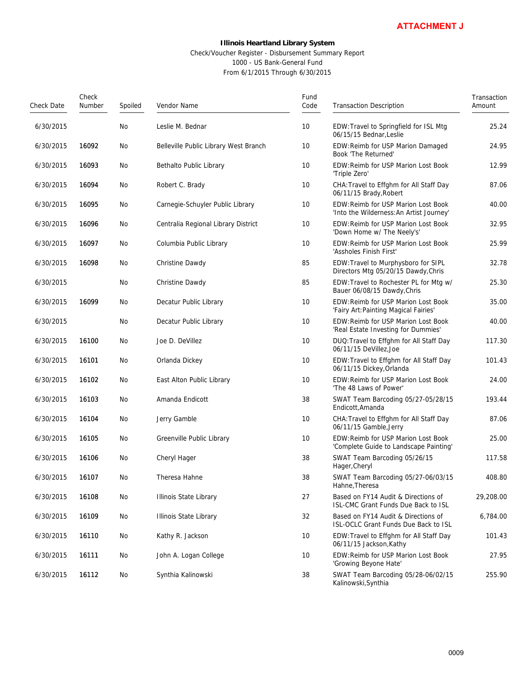#### Check/Voucher Register - Disbursement Summary Report 1000 - US Bank-General Fund From 6/1/2015 Through 6/30/2015

|            |                 |         |                                                                                                                                                             |              | <b>ATTACHMENT J</b>                                                            |                       |
|------------|-----------------|---------|-------------------------------------------------------------------------------------------------------------------------------------------------------------|--------------|--------------------------------------------------------------------------------|-----------------------|
|            |                 |         | Illinois Heartland Library System<br>Check/Voucher Register - Disbursement Summary Report<br>1000 - US Bank-General Fund<br>From 6/1/2015 Through 6/30/2015 |              |                                                                                |                       |
| Check Date | Check<br>Number | Spoiled | Vendor Name                                                                                                                                                 | Fund<br>Code | <b>Transaction Description</b>                                                 | Transaction<br>Amount |
| 6/30/2015  |                 | No      | Leslie M. Bednar                                                                                                                                            | 10           | EDW: Travel to Springfield for ISL Mtg<br>06/15/15 Bednar, Leslie              | 25.24                 |
| 6/30/2015  | 16092           | No      | Belleville Public Library West Branch                                                                                                                       | 10           | EDW: Reimb for USP Marion Damaged<br>Book 'The Returned'                       | 24.95                 |
| 6/30/2015  | 16093           | No      | Bethalto Public Library                                                                                                                                     | 10           | EDW: Reimb for USP Marion Lost Book<br>'Triple Zero'                           | 12.99                 |
| 6/30/2015  | 16094           | No      | Robert C. Brady                                                                                                                                             | 10           | CHA: Travel to Effghm for All Staff Day<br>06/11/15 Brady, Robert              | 87.06                 |
| 6/30/2015  | 16095           | No      | Carnegie-Schuyler Public Library                                                                                                                            | 10           | EDW:Reimb for USP Marion Lost Book<br>'Into the Wilderness: An Artist Journey' | 40.00                 |
| 6/30/2015  | 16096           | No      | Centralia Regional Library District                                                                                                                         | 10           | EDW: Reimb for USP Marion Lost Book<br>'Down Home w/ The Neely's'              | 32.95                 |
| 6/30/2015  | 16097           | No      | Columbia Public Library                                                                                                                                     | 10           | EDW: Reimb for USP Marion Lost Book<br>'Assholes Finish First'                 | 25.99                 |
| 6/30/2015  | 16098           | No      | Christine Dawdy                                                                                                                                             | 85           | EDW: Travel to Murphysboro for SIPL<br>Directors Mtg 05/20/15 Dawdy, Chris     | 32.78                 |
| 6/30/2015  |                 | No      | Christine Dawdy                                                                                                                                             | 85           | EDW: Travel to Rochester PL for Mtg w/<br>Bauer 06/08/15 Dawdy, Chris          | 25.30                 |
| 6/30/2015  | 16099           | No      | Decatur Public Library                                                                                                                                      | 10           | EDW: Reimb for USP Marion Lost Book<br>'Fairy Art: Painting Magical Fairies'   | 35.00                 |
| 6/30/2015  |                 | No      | Decatur Public Library                                                                                                                                      | 10           | EDW: Reimb for USP Marion Lost Book<br>'Real Estate Investing for Dummies'     | 40.00                 |
| 6/30/2015  | 16100           | No      | Joe D. DeVillez                                                                                                                                             | 10           | DUQ: Travel to Effghm for All Staff Day<br>06/11/15 DeVillez, Joe              | 117.30                |
| 6/30/2015  | 16101           | No      | Orlanda Dickey                                                                                                                                              | 10           | EDW: Travel to Effghm for All Staff Day<br>06/11/15 Dickey, Orlanda            | 101.43                |
| 6/30/2015  | 16102           | No      | East Alton Public Library                                                                                                                                   | 10           | EDW: Reimb for USP Marion Lost Book<br>'The 48 Laws of Power'                  | 24.00                 |
| 6/30/2015  | 16103           | No      | Amanda Endicott                                                                                                                                             | 38           | SWAT Team Barcoding 05/27-05/28/15<br>Endicott.Amanda                          | 193.44                |
| 6/30/2015  | 16104           | No      | Jerry Gamble                                                                                                                                                | 10           | CHA: Travel to Effghm for All Staff Day<br>06/11/15 Gamble, Jerry              | 87.06                 |
| 6/30/2015  | 16105           | No      | Greenville Public Library                                                                                                                                   | 10           | EDW: Reimb for USP Marion Lost Book<br>'Complete Guide to Landscape Painting'  | 25.00                 |
| 6/30/2015  | 16106           | No      | Cheryl Hager                                                                                                                                                | 38           | SWAT Team Barcoding 05/26/15<br>Hager, Cheryl                                  | 117.58                |
| 6/30/2015  | 16107           | No      | Theresa Hahne                                                                                                                                               | 38           | SWAT Team Barcoding 05/27-06/03/15<br>Hahne, Theresa                           | 408.80                |
| 6/30/2015  | 16108           | No      | Illinois State Library                                                                                                                                      | 27           | Based on FY14 Audit & Directions of<br>ISL-CMC Grant Funds Due Back to ISL     | 29,208.00             |
| 6/30/2015  | 16109           | No      | Illinois State Library                                                                                                                                      | 32           | Based on FY14 Audit & Directions of<br>ISL-OCLC Grant Funds Due Back to ISL    | 6,784.00              |
| 6/30/2015  | 16110           | No      | Kathy R. Jackson                                                                                                                                            | 10           | EDW: Travel to Effghm for All Staff Day<br>06/11/15 Jackson, Kathy             | 101.43                |
| 6/30/2015  | 16111           | No      | John A. Logan College                                                                                                                                       | 10           | EDW: Reimb for USP Marion Lost Book<br>'Growing Beyone Hate'                   | 27.95                 |
| 6/30/2015  | 16112           | No      | Synthia Kalinowski                                                                                                                                          | 38           | SWAT Team Barcoding 05/28-06/02/15<br>Kalinowski, Synthia                      | 255.90                |
|            |                 |         |                                                                                                                                                             |              | 0009                                                                           |                       |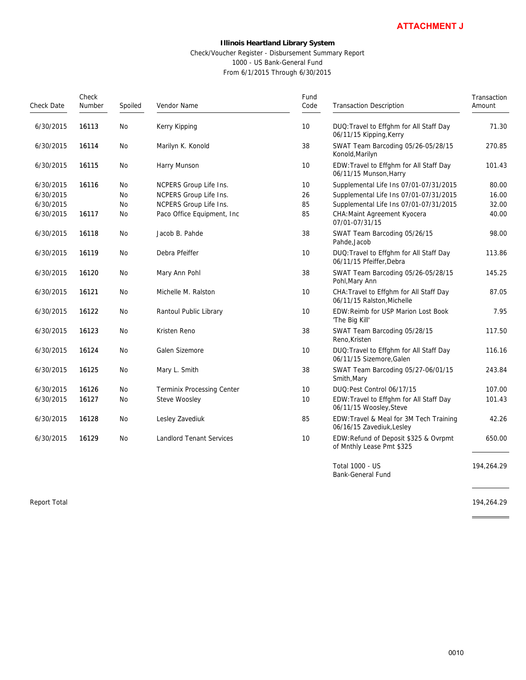### **Illinois Heartland Library System** Check/Voucher Register - Disbursement Summary Report 1000 - US Bank-General Fund From 6/1/2015 Through 6/30/2015

|              |                 |         |                                                      |                                                                                                            | <b>ATTACHMENT J</b>                                                   |                       |
|--------------|-----------------|---------|------------------------------------------------------|------------------------------------------------------------------------------------------------------------|-----------------------------------------------------------------------|-----------------------|
|              |                 |         | Check/Voucher Register - Disbursement Summary Report | <b>Illinois Heartland Library System</b><br>1000 - US Bank-General Fund<br>From 6/1/2015 Through 6/30/2015 |                                                                       |                       |
| Check Date   | Check<br>Number | Spoiled | Vendor Name                                          | Fund<br>Code                                                                                               | <b>Transaction Description</b>                                        | Transaction<br>Amount |
| 6/30/2015    | 16113           | No      | Kerry Kipping                                        | 10                                                                                                         | DUQ: Travel to Effghm for All Staff Day<br>06/11/15 Kipping, Kerry    | 71.30                 |
| 6/30/2015    | 16114           | No      | Marilyn K. Konold                                    | 38                                                                                                         | SWAT Team Barcoding 05/26-05/28/15<br>Konold, Marilyn                 | 270.85                |
| 6/30/2015    | 16115           | No      | Harry Munson                                         | 10                                                                                                         | EDW: Travel to Effghm for All Staff Day<br>06/11/15 Munson, Harry     | 101.43                |
| 6/30/2015    | 16116           | No      | NCPERS Group Life Ins.                               | 10                                                                                                         | Supplemental Life Ins 07/01-07/31/2015                                | 80.00                 |
| 6/30/2015    |                 | No      | NCPERS Group Life Ins.                               | 26                                                                                                         | Supplemental Life Ins 07/01-07/31/2015                                | 16.00                 |
| 6/30/2015    |                 | No      | NCPERS Group Life Ins.                               | 85                                                                                                         | Supplemental Life Ins 07/01-07/31/2015                                | 32.00                 |
| 6/30/2015    | 16117           | No      | Paco Office Equipment, Inc                           | 85                                                                                                         | CHA: Maint Agreement Kyocera                                          | 40.00                 |
|              |                 |         |                                                      |                                                                                                            | 07/01-07/31/15                                                        |                       |
| 6/30/2015    | 16118           | No      | Jacob B. Pahde                                       | 38                                                                                                         | SWAT Team Barcoding 05/26/15<br>Pahde, Jacob                          | 98.00                 |
| 6/30/2015    | 16119           | No      | Debra Pfeiffer                                       | 10                                                                                                         | DUQ: Travel to Effghm for All Staff Day<br>06/11/15 Pfeiffer, Debra   | 113.86                |
| 6/30/2015    | 16120           | No      | Mary Ann Pohl                                        | 38                                                                                                         | SWAT Team Barcoding 05/26-05/28/15<br>Pohl, Mary Ann                  | 145.25                |
| 6/30/2015    | 16121           | No      | Michelle M. Ralston                                  | 10                                                                                                         | CHA: Travel to Effghm for All Staff Day<br>06/11/15 Ralston, Michelle | 87.05                 |
| 6/30/2015    | 16122           | No      | Rantoul Public Library                               | 10                                                                                                         | EDW: Reimb for USP Marion Lost Book<br>'The Big Kill'                 | 7.95                  |
| 6/30/2015    | 16123           | No      | Kristen Reno                                         | 38                                                                                                         | SWAT Team Barcoding 05/28/15<br>Reno, Kristen                         | 117.50                |
| 6/30/2015    | 16124           | No      | Galen Sizemore                                       | 10                                                                                                         | DUQ: Travel to Effghm for All Staff Day<br>06/11/15 Sizemore, Galen   | 116.16                |
| 6/30/2015    | 16125           | No      | Mary L. Smith                                        | 38                                                                                                         | SWAT Team Barcoding 05/27-06/01/15<br>Smith, Mary                     | 243.84                |
| 6/30/2015    | 16126           | No      | <b>Terminix Processing Center</b>                    | 10                                                                                                         | DUQ:Pest Control 06/17/15                                             | 107.00                |
| 6/30/2015    | 16127           | No      | Steve Woosley                                        | 10                                                                                                         | EDW: Travel to Effghm for All Staff Day<br>06/11/15 Woosley, Steve    | 101.43                |
| 6/30/2015    | 16128           | No      | Lesley Zavediuk                                      | 85                                                                                                         | EDW: Travel & Meal for 3M Tech Training<br>06/16/15 Zavediuk, Lesley  | 42.26                 |
| 6/30/2015    | 16129           | No      | <b>Landlord Tenant Services</b>                      | 10                                                                                                         | EDW:Refund of Deposit \$325 & Ovrpmt<br>of Mnthly Lease Pmt \$325     | 650.00                |
|              |                 |         |                                                      |                                                                                                            | Total 1000 - US<br>Bank-General Fund                                  | 194,264.29            |
| Report Total |                 |         |                                                      |                                                                                                            |                                                                       | 194,264.29            |
|              |                 |         |                                                      |                                                                                                            |                                                                       |                       |
|              |                 |         |                                                      |                                                                                                            | 0010                                                                  |                       |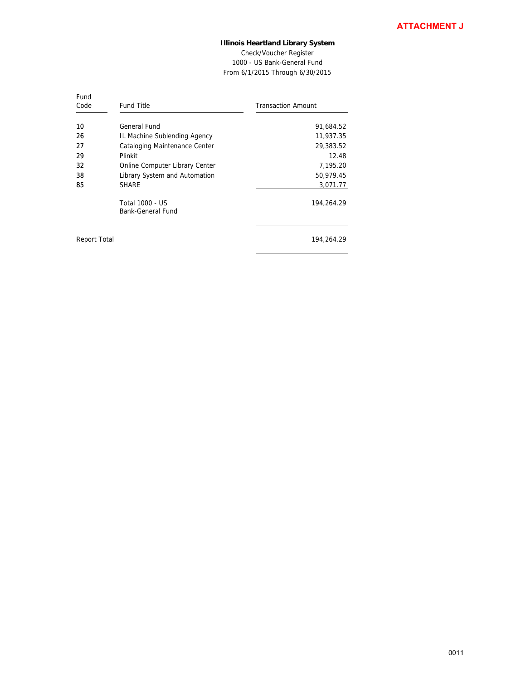Check/Voucher Register 1000 - US Bank-General Fund From 6/1/2015 Through 6/30/2015

 $=$ 

| Fund<br>Code | <b>Fund Title</b>                    | <b>Transaction Amount</b> |
|--------------|--------------------------------------|---------------------------|
| 10           | General Fund                         | 91,684.52                 |
| 26           | IL Machine Sublending Agency         | 11,937.35                 |
| 27           | Cataloging Maintenance Center        | 29,383.52                 |
| 29           | Plinkit                              | 12.48                     |
| 32           | Online Computer Library Center       | 7,195.20                  |
| 38           | Library System and Automation        | 50,979.45                 |
| 85           | <b>SHARE</b>                         | 3,071.77                  |
|              | Total 1000 - US<br>Bank-General Fund | 194,264.29                |
| Report Total |                                      | 194.264.29                |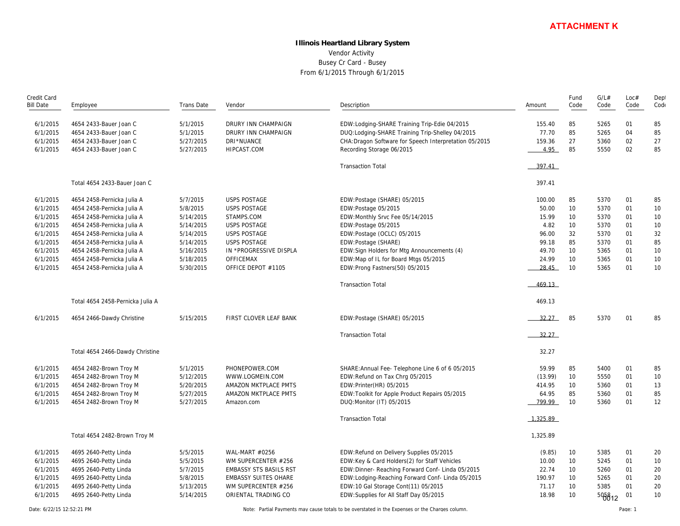# **Illinois Heartland Library System** Vendor Activity Busey Cr Card - Busey From 6/1/2015 Through 6/1/2015

|                  |                                  |            |                               |                                                        |             |      | <b>ATTACHMENT K</b> |      |      |
|------------------|----------------------------------|------------|-------------------------------|--------------------------------------------------------|-------------|------|---------------------|------|------|
|                  |                                  |            |                               | <b>Illinois Heartland Library System</b>               |             |      |                     |      |      |
|                  |                                  |            |                               | Vendor Activity                                        |             |      |                     |      |      |
|                  |                                  |            |                               | Busey Cr Card - Busey                                  |             |      |                     |      |      |
|                  |                                  |            |                               |                                                        |             |      |                     |      |      |
|                  |                                  |            |                               | From 6/1/2015 Through 6/1/2015                         |             |      |                     |      |      |
| Credit Card      |                                  |            |                               |                                                        |             | Fund | G/L#                | Loc# | Dept |
| <b>Bill Date</b> | Employee                         | Trans Date | Vendor                        | Description                                            | Amount      | Code | Code                | Code | Code |
| 6/1/2015         | 4654 2433-Bauer Joan C           | 5/1/2015   | DRURY INN CHAMPAIGN           | EDW:Lodging-SHARE Training Trip-Edie 04/2015           | 155.40      | 85   | 5265                | 01   | 85   |
| 6/1/2015         | 4654 2433-Bauer Joan C           | 5/1/2015   | DRURY INN CHAMPAIGN           | DUQ: Lodging-SHARE Training Trip-Shelley 04/2015       | 77.70       | 85   | 5265                | 04   | 85   |
| 6/1/2015         | 4654 2433-Bauer Joan C           | 5/27/2015  | DRI*NUANCE                    | CHA: Dragon Software for Speech Interpretation 05/2015 | 159.36      | 27   | 5360                | 02   | 27   |
| 6/1/2015         | 4654 2433-Bauer Joan C           | 5/27/2015  | HIPCAST.COM                   | Recording Storage 06/2015                              | 4.95        | 85   | 5550                | 02   | 85   |
|                  |                                  |            |                               | <b>Transaction Total</b>                               | 397.41      |      |                     |      |      |
|                  | Total 4654 2433-Bauer Joan C     |            |                               |                                                        | 397.41      |      |                     |      |      |
| 6/1/2015         | 4654 2458-Pernicka Julia A       | 5/7/2015   | <b>USPS POSTAGE</b>           | EDW:Postage (SHARE) 05/2015                            | 100.00      | 85   | 5370                | 01   | 85   |
| 6/1/2015         | 4654 2458-Pernicka Julia A       | 5/8/2015   | <b>USPS POSTAGE</b>           | EDW:Postage 05/2015                                    | 50.00       | 10   | 5370                | 01   | 10   |
| 6/1/2015         | 4654 2458-Pernicka Julia A       | 5/14/2015  | STAMPS.COM                    | EDW:Monthly Srvc Fee 05/14/2015                        | 15.99       | 10   | 5370                | 01   | 10   |
| 6/1/2015         | 4654 2458-Pernicka Julia A       | 5/14/2015  | <b>USPS POSTAGE</b>           | EDW:Postage 05/2015                                    | 4.82        | 10   | 5370                | 01   | 10   |
| 6/1/2015         | 4654 2458-Pernicka Julia A       | 5/14/2015  | <b>USPS POSTAGE</b>           | EDW:Postage (OCLC) 05/2015                             | 96.00       | 32   | 5370                | 01   | 32   |
| 6/1/2015         | 4654 2458-Pernicka Julia A       | 5/14/2015  | <b>USPS POSTAGE</b>           | EDW:Postage (SHARE)                                    | 99.18       | 85   | 5370                | 01   | 85   |
| 6/1/2015         | 4654 2458-Pernicka Julia A       | 5/16/2015  | IN *PROGRESSIVE DISPLA        | EDW: Sign Holders for Mtg Announcements (4)            | 49.70       | 10   | 5365                | 01   | 10   |
| 6/1/2015         | 4654 2458-Pernicka Julia A       | 5/18/2015  | OFFICEMAX                     | EDW: Map of IL for Board Mtgs 05/2015                  | 24.99       | 10   | 5365                | 01   | 10   |
| 6/1/2015         | 4654 2458-Pernicka Julia A       | 5/30/2015  | OFFICE DEPOT #1105            | EDW: Prong Fastners (50) 05/2015                       | 28.45       | 10   | 5365                | 01   | 10   |
|                  |                                  |            |                               | <b>Transaction Total</b>                               | 469.13      |      |                     |      |      |
|                  | Total 4654 2458-Pernicka Julia A |            |                               |                                                        | 469.13      |      |                     |      |      |
| 6/1/2015         | 4654 2466-Dawdy Christine        | 5/15/2015  | FIRST CLOVER LEAF BANK        | EDW:Postage (SHARE) 05/2015                            | 32.27       | 85   | 5370                | 01   | 85   |
|                  |                                  |            |                               | <b>Transaction Total</b>                               | 32.27       |      |                     |      |      |
|                  | Total 4654 2466-Dawdy Christine  |            |                               |                                                        | 32.27       |      |                     |      |      |
| 6/1/2015         | 4654 2482-Brown Troy M           | 5/1/2015   | PHONEPOWER.COM                | SHARE: Annual Fee- Telephone Line 6 of 6 05/2015       | 59.99       | 85   | 5400                | 01   | 85   |
| 6/1/2015         | 4654 2482-Brown Troy M           | 5/12/2015  | WWW.LOGMEIN.COM               | EDW: Refund on Tax Chrg 05/2015                        | (13.99)     | 10   | 5550                | 01   | 10   |
| 6/1/2015         | 4654 2482-Brown Troy M           | 5/20/2015  | AMAZON MKTPLACE PMTS          | EDW: Printer (HR) 05/2015                              | 414.95      | 10   | 5360                | 01   | 13   |
| 6/1/2015         | 4654 2482-Brown Troy M           | 5/27/2015  | AMAZON MKTPLACE PMTS          | EDW: Toolkit for Apple Product Repairs 05/2015         | 64.95       | 85   | 5360                | 01   | 85   |
| 6/1/2015         | 4654 2482-Brown Troy M           | 5/27/2015  | Amazon.com                    | DUQ: Monitor (IT) 05/2015                              | 799.99      | 10   | 5360                | 01   | 12   |
|                  |                                  |            |                               | <b>Transaction Total</b>                               | $-1,325.89$ |      |                     |      |      |
|                  | Total 4654 2482-Brown Troy M     |            |                               |                                                        | 1,325.89    |      |                     |      |      |
| 6/1/2015         | 4695 2640-Petty Linda            | 5/5/2015   | WAL-MART #0256                | EDW:Refund on Delivery Supplies 05/2015                | (9.85)      | 10   | 5385                | 01   | 20   |
| 6/1/2015         | 4695 2640-Petty Linda            | 5/5/2015   | WM SUPERCENTER #256           | EDW:Key & Card Holders(2) for Staff Vehicles           | 10.00       | 10   | 5245                | 01   | 10   |
| 6/1/2015         | 4695 2640-Petty Linda            | 5/7/2015   | <b>EMBASSY STS BASILS RST</b> | EDW:Dinner- Reaching Forward Conf- Linda 05/2015       | 22.74       | 10   | 5260                | 01   | 20   |
| 6/1/2015         | 4695 2640-Petty Linda            | 5/8/2015   | <b>EMBASSY SUITES OHARE</b>   | EDW:Lodging-Reaching Forward Conf- Linda 05/2015       | 190.97      | 10   | 5265                | 01   | 20   |
| 6/1/2015         | 4695 2640-Petty Linda            | 5/13/2015  | WM SUPERCENTER #256           | EDW:10 Gal Storage Cont(11) 05/2015                    | 71.17       | 10   | 5385                | 01   | 20   |
| 6/1/2015         | 4695 2640-Petty Linda            | 5/14/2015  | ORIENTAL TRADING CO           | EDW:Supplies for All Staff Day 05/2015                 | 18.98       | 10   | 505812              | 01   | 10   |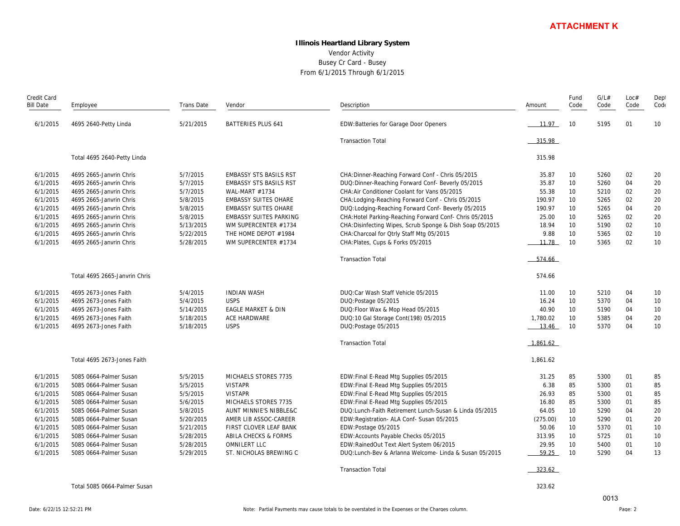# **Illinois Heartland Library System** Vendor Activity Busey Cr Card - Busey From 6/1/2015 Through 6/1/2015

|                  |                               |            |                               |                                                           |             |                 | <b>ATTACHMENT K</b> |      |      |
|------------------|-------------------------------|------------|-------------------------------|-----------------------------------------------------------|-------------|-----------------|---------------------|------|------|
|                  |                               |            |                               | <b>Illinois Heartland Library System</b>                  |             |                 |                     |      |      |
|                  |                               |            |                               | Vendor Activity                                           |             |                 |                     |      |      |
|                  |                               |            |                               |                                                           |             |                 |                     |      |      |
|                  |                               |            |                               | Busey Cr Card - Busey                                     |             |                 |                     |      |      |
|                  |                               |            |                               | From 6/1/2015 Through 6/1/2015                            |             |                 |                     |      |      |
| Credit Card      |                               |            |                               |                                                           |             | Fund            | G/L#                | Loc# | Dept |
| <b>Bill Date</b> | Employee                      | Trans Date | Vendor                        | Description                                               | Amount      | Code            | Code                | Code | Code |
| 6/1/2015         | 4695 2640-Petty Linda         | 5/21/2015  | <b>BATTERIES PLUS 641</b>     | EDW: Batteries for Garage Door Openers                    | 11.97       | 10              | 5195                | 01   | 10   |
|                  |                               |            |                               | <b>Transaction Total</b>                                  | 315.98      |                 |                     |      |      |
|                  | Total 4695 2640-Petty Linda   |            |                               |                                                           | 315.98      |                 |                     |      |      |
| 6/1/2015         | 4695 2665-Janvrin Chris       | 5/7/2015   | <b>EMBASSY STS BASILS RST</b> | CHA: Dinner-Reaching Forward Conf - Chris 05/2015         | 35.87       | 10              | 5260                | 02   | 20   |
| 6/1/2015         | 4695 2665-Janvrin Chris       | 5/7/2015   | <b>EMBASSY STS BASILS RST</b> | DUQ: Dinner-Reaching Forward Conf- Beverly 05/2015        | 35.87       | 10 <sup>°</sup> | 5260                | 04   | 20   |
| 6/1/2015         | 4695 2665-Janvrin Chris       | 5/7/2015   | WAL-MART #1734                | CHA: Air Conditioner Coolant for Vans 05/2015             | 55.38       | 10              | 5210                | 02   | 20   |
| 6/1/2015         | 4695 2665-Janvrin Chris       | 5/8/2015   | <b>EMBASSY SUITES OHARE</b>   | CHA: Lodging-Reaching Forward Conf - Chris 05/2015        | 190.97      | 10              | 5265                | 02   | 20   |
| 6/1/2015         | 4695 2665-Janvrin Chris       | 5/8/2015   | <b>EMBASSY SUITES OHARE</b>   | DUQ: Lodging-Reaching Forward Conf- Beverly 05/2015       | 190.97      | 10              | 5265                | 04   | 20   |
| 6/1/2015         | 4695 2665-Janvrin Chris       | 5/8/2015   | <b>EMBASSY SUITES PARKING</b> | CHA: Hotel Parking-Reaching Forward Conf- Chris 05/2015   | 25.00       | 10              | 5265                | 02   | 20   |
| 6/1/2015         | 4695 2665-Janvrin Chris       | 5/13/2015  | WM SUPERCENTER #1734          | CHA: Disinfecting Wipes, Scrub Sponge & Dish Soap 05/2015 | 18.94       | 10              | 5190                | 02   | 10   |
| 6/1/2015         | 4695 2665-Janvrin Chris       | 5/22/2015  | THE HOME DEPOT #1984          | CHA: Charcoal for Otrly Staff Mtg 05/2015                 | 9.88        | 10              | 5365                | 02   | 10   |
| 6/1/2015         | 4695 2665-Janvrin Chris       | 5/28/2015  | WM SUPERCENTER #1734          | CHA: Plates, Cups & Forks 05/2015                         | 11.78       | 10              | 5365                | 02   | 10   |
|                  |                               |            |                               | <b>Transaction Total</b>                                  | 574.66      |                 |                     |      |      |
|                  | Total 4695 2665-Janvrin Chris |            |                               |                                                           | 574.66      |                 |                     |      |      |
| 6/1/2015         | 4695 2673-Jones Faith         | 5/4/2015   | <b>INDIAN WASH</b>            | DUQ:Car Wash Staff Vehicle 05/2015                        | 11.00       | 10 <sup>°</sup> | 5210                | 04   | 10   |
| 6/1/2015         | 4695 2673-Jones Faith         | 5/4/2015   | <b>USPS</b>                   | DUQ: Postage 05/2015                                      | 16.24       | 10              | 5370                | 04   | 10   |
| 6/1/2015         | 4695 2673-Jones Faith         | 5/14/2015  | EAGLE MARKET & DIN            | DUQ: Floor Wax & Mop Head 05/2015                         | 40.90       | 10              | 5190                | 04   | 10   |
| 6/1/2015         | 4695 2673-Jones Faith         | 5/18/2015  | ACE HARDWARE                  | DUQ:10 Gal Storage Cont(198) 05/2015                      | 1,780.02    | 10              | 5385                | 04   | 20   |
| 6/1/2015         | 4695 2673-Jones Faith         | 5/18/2015  | <b>USPS</b>                   | DUQ: Postage 05/2015                                      | 13.46       | 10              | 5370                | 04   | 10   |
|                  |                               |            |                               | <b>Transaction Total</b>                                  | $-1,861.62$ |                 |                     |      |      |
|                  | Total 4695 2673-Jones Faith   |            |                               |                                                           | 1,861.62    |                 |                     |      |      |
| 6/1/2015         | 5085 0664-Palmer Susan        | 5/5/2015   | MICHAELS STORES 7735          | EDW:Final E-Read Mtg Supplies 05/2015                     | 31.25       | 85              | 5300                | 01   | 85   |
| 6/1/2015         | 5085 0664-Palmer Susan        | 5/5/2015   | <b>VISTAPR</b>                | EDW:Final E-Read Mtg Supplies 05/2015                     | 6.38        | 85              | 5300                | 01   | 85   |
| 6/1/2015         | 5085 0664-Palmer Susan        | 5/5/2015   | <b>VISTAPR</b>                | EDW: Final E-Read Mtg Supplies 05/2015                    | 26.93       | 85              | 5300                | 01   | 85   |
| 6/1/2015         | 5085 0664-Palmer Susan        | 5/6/2015   | MICHAELS STORES 7735          | EDW: Final E-Read Mtg Supplies 05/2015                    | 16.80       | 85              | 5300                | 01   | 85   |
| 6/1/2015         | 5085 0664-Palmer Susan        | 5/8/2015   | AUNT MINNIE'S NIBBLE&C        | DUQ: Lunch-Faith Retirement Lunch-Susan & Linda 05/2015   | 64.05       | 10              | 5290                | 04   | 20   |
| 6/1/2015         | 5085 0664-Palmer Susan        | 5/20/2015  | AMER LIB ASSOC-CAREER         | EDW: Registration- ALA Conf- Susan 05/2015                | (275.00)    | 10 <sup>°</sup> | 5290                | 01   | 20   |
| 6/1/2015         | 5085 0664-Palmer Susan        | 5/21/2015  | FIRST CLOVER LEAF BANK        | EDW:Postage 05/2015                                       | 50.06       | 10 <sup>°</sup> | 5370                | 01   | 10   |
| 6/1/2015         | 5085 0664-Palmer Susan        | 5/28/2015  | ABILA CHECKS & FORMS          | EDW: Accounts Payable Checks 05/2015                      | 313.95      | 10              | 5725                | 01   | 10   |
| 6/1/2015         | 5085 0664-Palmer Susan        | 5/28/2015  | OMNILERT LLC                  | EDW:RainedOut Text Alert System 06/2015                   | 29.95       | 10              | 5400                | 01   | 10   |
| 6/1/2015         | 5085 0664-Palmer Susan        | 5/29/2015  | ST. NICHOLAS BREWING C        | DUQ: Lunch-Bey & Arlanna Welcome- Linda & Susan 05/2015   | 59.25       | 10              | 5290                | 04   | 13   |
|                  |                               |            |                               | <b>Transaction Total</b>                                  | $-323.62$   |                 |                     |      |      |
|                  | Total 5085 0664-Palmer Susan  |            |                               |                                                           | 323.62      |                 |                     |      |      |
|                  |                               |            |                               |                                                           |             |                 | 0013                |      |      |